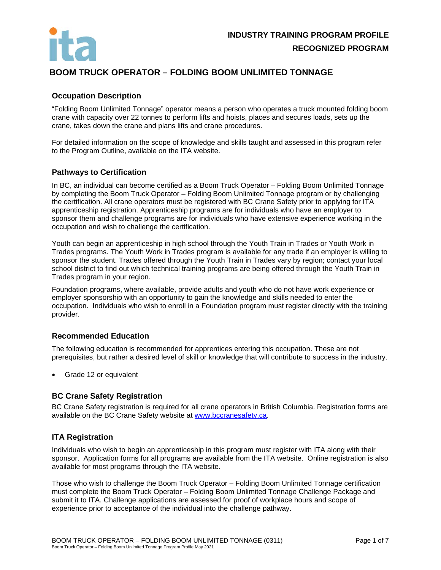

# **BOOM TRUCK OPERATOR – FOLDING BOOM UNLIMITED TONNAGE**

# **Occupation Description**

"Folding Boom Unlimited Tonnage" operator means a person who operates a truck mounted folding boom crane with capacity over 22 tonnes to perform lifts and hoists, places and secures loads, sets up the crane, takes down the crane and plans lifts and crane procedures.

For detailed information on the scope of knowledge and skills taught and assessed in this program refer to the Program Outline, available on the ITA website.

#### **Pathways to Certification**

In BC, an individual can become certified as a Boom Truck Operator – Folding Boom Unlimited Tonnage by completing the Boom Truck Operator – Folding Boom Unlimited Tonnage program or by challenging the certification. All crane operators must be registered with BC Crane Safety prior to applying for ITA apprenticeship registration. Apprenticeship programs are for individuals who have an employer to sponsor them and challenge programs are for individuals who have extensive experience working in the occupation and wish to challenge the certification.

Youth can begin an apprenticeship in high school through the Youth Train in Trades or Youth Work in Trades programs. The Youth Work in Trades program is available for any trade if an employer is willing to sponsor the student. Trades offered through the Youth Train in Trades vary by region; contact your local school district to find out which technical training programs are being offered through the Youth Train in Trades program in your region.

Foundation programs, where available, provide adults and youth who do not have work experience or employer sponsorship with an opportunity to gain the knowledge and skills needed to enter the occupation. Individuals who wish to enroll in a Foundation program must register directly with the training provider.

# **Recommended Education**

The following education is recommended for apprentices entering this occupation. These are not prerequisites, but rather a desired level of skill or knowledge that will contribute to success in the industry.

• Grade 12 or equivalent

# **BC Crane Safety Registration**

BC Crane Safety registration is required for all crane operators in British Columbia. Registration forms are available on the BC Crane Safety website at [www.bccranesafety.ca.](http://www.bccranesafety.ca/)

# **ITA Registration**

Individuals who wish to begin an apprenticeship in this program must register with ITA along with their sponsor. Application forms for all programs are available from the ITA website. Online registration is also available for most programs through the ITA website.

Those who wish to challenge the Boom Truck Operator – Folding Boom Unlimited Tonnage certification must complete the Boom Truck Operator – Folding Boom Unlimited Tonnage Challenge Package and submit it to ITA. Challenge applications are assessed for proof of workplace hours and scope of experience prior to acceptance of the individual into the challenge pathway.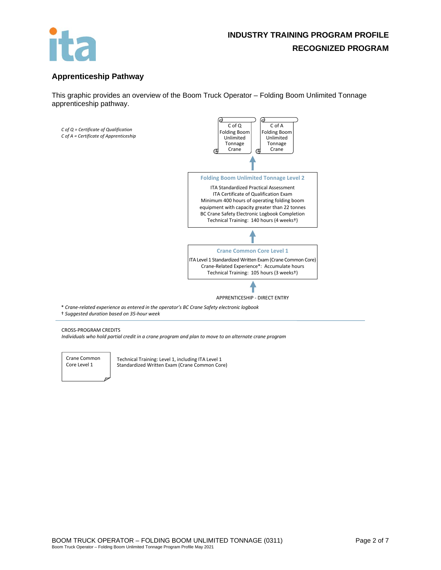

# **Apprenticeship Pathway**

This graphic provides an overview of the Boom Truck Operator – Folding Boom Unlimited Tonnage apprenticeship pathway.



† *Suggested duration based on 35-hour week*

#### CROSS-PROGRAM CREDITS

*Individuals who hold partial credit in a crane program and plan to move to an alternate crane program*



Technical Training: Level 1, including ITA Level 1 Standardized Written Exam (Crane Common Core)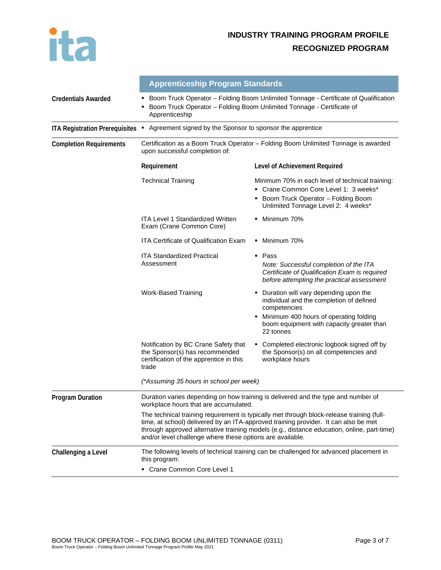

|                                       | <b>Apprenticeship Program Standards</b><br>Boom Truck Operator - Folding Boom Unlimited Tonnage - Certificate of Qualification<br>٠<br>Boom Truck Operator - Folding Boom Unlimited Tonnage - Certificate of<br>٠<br>Apprenticeship                                                                                                         |                                                                                                                                                                           |  |
|---------------------------------------|---------------------------------------------------------------------------------------------------------------------------------------------------------------------------------------------------------------------------------------------------------------------------------------------------------------------------------------------|---------------------------------------------------------------------------------------------------------------------------------------------------------------------------|--|
| <b>Credentials Awarded</b>            |                                                                                                                                                                                                                                                                                                                                             |                                                                                                                                                                           |  |
| <b>ITA Registration Prerequisites</b> | Agreement signed by the Sponsor to sponsor the apprentice<br>٠                                                                                                                                                                                                                                                                              |                                                                                                                                                                           |  |
| <b>Completion Requirements</b>        | Certification as a Boom Truck Operator - Folding Boom Unlimited Tonnage is awarded<br>upon successful completion of:                                                                                                                                                                                                                        |                                                                                                                                                                           |  |
|                                       | Requirement                                                                                                                                                                                                                                                                                                                                 | Level of Achievement Required                                                                                                                                             |  |
|                                       | <b>Technical Training</b>                                                                                                                                                                                                                                                                                                                   | Minimum 70% in each level of technical training:<br>Crane Common Core Level 1: 3 weeks*<br>٠<br>Boom Truck Operator - Folding Boom<br>Unlimited Tonnage Level 2: 4 weeks* |  |
|                                       | <b>ITA Level 1 Standardized Written</b><br>Exam (Crane Common Core)                                                                                                                                                                                                                                                                         | Minimum 70%<br>٠                                                                                                                                                          |  |
|                                       | ITA Certificate of Qualification Exam                                                                                                                                                                                                                                                                                                       | Minimum 70%<br>٠                                                                                                                                                          |  |
|                                       | <b>ITA Standardized Practical</b><br>Assessment                                                                                                                                                                                                                                                                                             | Pass<br>٠<br>Note: Successful completion of the ITA<br>Certificate of Qualification Exam is required<br>before attempting the practical assessment                        |  |
|                                       | <b>Work-Based Training</b>                                                                                                                                                                                                                                                                                                                  | Duration will vary depending upon the<br>٠<br>individual and the completion of defined<br>competencies                                                                    |  |
|                                       |                                                                                                                                                                                                                                                                                                                                             | Minimum 400 hours of operating folding<br>boom equipment with capacity greater than<br>22 tonnes                                                                          |  |
|                                       | Notification by BC Crane Safety that<br>the Sponsor(s) has recommended<br>certification of the apprentice in this<br>trade                                                                                                                                                                                                                  | Completed electronic logbook signed off by<br>٠<br>the Sponsor(s) on all competencies and<br>workplace hours                                                              |  |
|                                       | (*Assuming 35 hours in school per week)                                                                                                                                                                                                                                                                                                     |                                                                                                                                                                           |  |
| <b>Program Duration</b>               | Duration varies depending on how training is delivered and the type and number of<br>workplace hours that are accumulated.                                                                                                                                                                                                                  |                                                                                                                                                                           |  |
|                                       | The technical training requirement is typically met through block-release training (full-<br>time, at school) delivered by an ITA-approved training provider. It can also be met<br>through approved alternative training models (e.g., distance education, online, part-time)<br>and/or level challenge where these options are available. |                                                                                                                                                                           |  |
| Challenging a Level                   | this program:                                                                                                                                                                                                                                                                                                                               | The following levels of technical training can be challenged for advanced placement in                                                                                    |  |
|                                       | • Crane Common Core Level 1                                                                                                                                                                                                                                                                                                                 |                                                                                                                                                                           |  |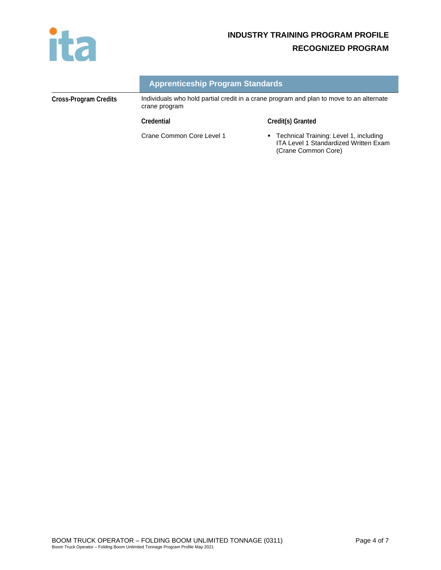

# **INDUSTRY TRAINING PROGRAM PROFILE RECOGNIZED PROGRAM**

|  | <b>Apprenticeship Program Standards</b> |
|--|-----------------------------------------|
|  |                                         |

**Cross-Program Credits** Individuals who hold partial credit in a crane program and plan to move to an alternate crane program

**Credential Credit(s) Granted**

Crane Common Core Level 1 **Technical Training: Level 1, including** ITA Level 1 Standardized Written Exam (Crane Common Core)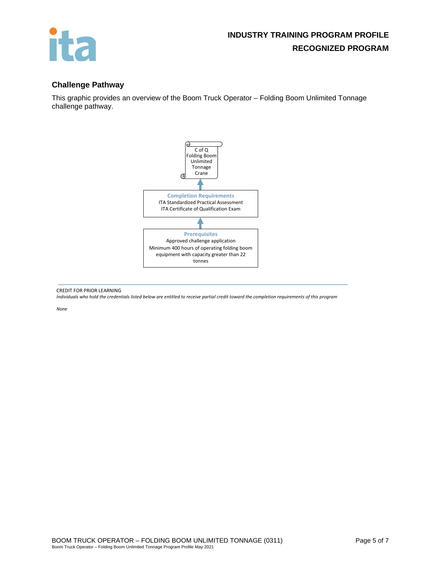

# **Challenge Pathway**

This graphic provides an overview of the Boom Truck Operator – Folding Boom Unlimited Tonnage challenge pathway.



CREDIT FOR PRIOR LEARNING

*Individuals who hold the credentials listed below are entitled to receive partial credit toward the completion requirements of this program*

*None*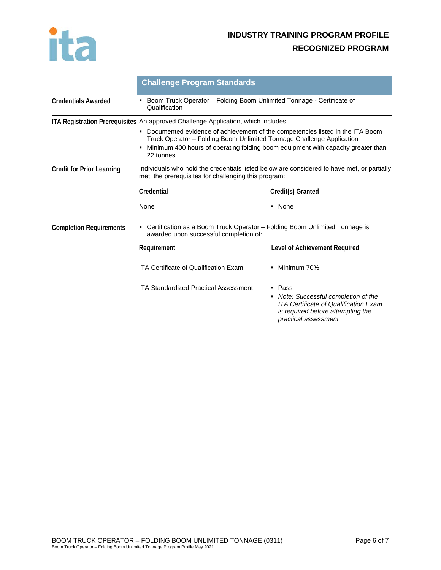

# **INDUSTRY TRAINING PROGRAM PROFILE RECOGNIZED PROGRAM**

|                                  | <b>Challenge Program Standards</b>                                                                                                                                                                                                                                                                                                                     |                                                                                                                                                      |  |
|----------------------------------|--------------------------------------------------------------------------------------------------------------------------------------------------------------------------------------------------------------------------------------------------------------------------------------------------------------------------------------------------------|------------------------------------------------------------------------------------------------------------------------------------------------------|--|
| <b>Credentials Awarded</b>       | Boom Truck Operator - Folding Boom Unlimited Tonnage - Certificate of<br>٠<br>Qualification                                                                                                                                                                                                                                                            |                                                                                                                                                      |  |
|                                  | ITA Registration Prerequisites An approved Challenge Application, which includes:<br>Documented evidence of achievement of the competencies listed in the ITA Boom<br>٠<br>Truck Operator - Folding Boom Unlimited Tonnage Challenge Application<br>Minimum 400 hours of operating folding boom equipment with capacity greater than<br>٠<br>22 tonnes |                                                                                                                                                      |  |
| <b>Credit for Prior Learning</b> | Individuals who hold the credentials listed below are considered to have met, or partially<br>met, the prerequisites for challenging this program:                                                                                                                                                                                                     |                                                                                                                                                      |  |
|                                  | Credential                                                                                                                                                                                                                                                                                                                                             | Credit(s) Granted                                                                                                                                    |  |
|                                  | None                                                                                                                                                                                                                                                                                                                                                   | • None                                                                                                                                               |  |
| <b>Completion Requirements</b>   | Certification as a Boom Truck Operator - Folding Boom Unlimited Tonnage is<br>٠<br>awarded upon successful completion of:                                                                                                                                                                                                                              |                                                                                                                                                      |  |
|                                  | Requirement                                                                                                                                                                                                                                                                                                                                            | Level of Achievement Required                                                                                                                        |  |
|                                  | <b>ITA Certificate of Qualification Exam</b>                                                                                                                                                                                                                                                                                                           | Minimum 70%                                                                                                                                          |  |
|                                  | <b>ITA Standardized Practical Assessment</b>                                                                                                                                                                                                                                                                                                           | ■ Pass<br>• Note: Successful completion of the<br>ITA Certificate of Qualification Exam<br>is required before attempting the<br>practical assessment |  |